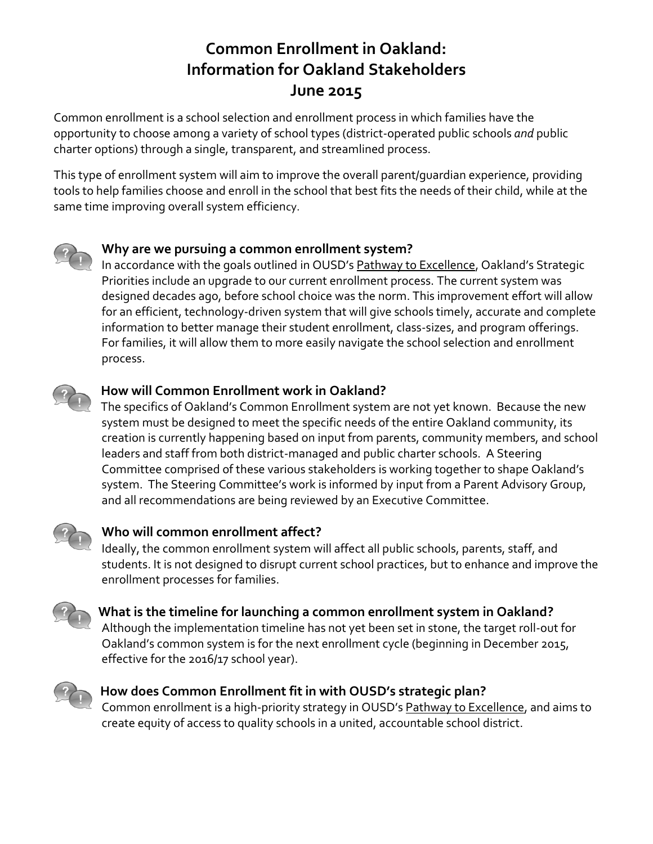# **Common Enrollment in Oakland: Information for Oakland Stakeholders June 2015**

Common enrollment is a school selection and enrollment process in which families have the opportunity to choose among a variety of school types (district-operated public schools *and* public charter options) through a single, transparent, and streamlined process.

This type of enrollment system will aim to improve the overall parent/guardian experience, providing tools to help families choose and enroll in the school that best fits the needs of their child, while at the same time improving overall system efficiency.



## **Why are we pursuing a common enrollment system?**

In accordance with the goals outlined in OUSD's Pathway to Excellence, Oakland's Strategic Priorities include an upgrade to our current enrollment process. The current system was designed decades ago, before school choice was the norm. This improvement effort will allow for an efficient, technology-driven system that will give schools timely, accurate and complete information to better manage their student enrollment, class-sizes, and program offerings. For families, it will allow them to more easily navigate the school selection and enrollment process.



## **How will Common Enrollment work in Oakland?**

The specifics of Oakland's Common Enrollment system are not yet known. Because the new system must be designed to meet the specific needs of the entire Oakland community, its creation is currently happening based on input from parents, community members, and school leaders and staff from both district-managed and public charter schools. A Steering Committee comprised of these various stakeholders is working together to shape Oakland's system. The Steering Committee's work is informed by input from a Parent Advisory Group, and all recommendations are being reviewed by an Executive Committee.



## **Who will common enrollment affect?**

Ideally, the common enrollment system will affect all public schools, parents, staff, and students. It is not designed to disrupt current school practices, but to enhance and improve the enrollment processes for families.



#### **What is the timeline for launching a common enrollment system in Oakland?**

Although the implementation timeline has not yet been set in stone, the target roll-out for Oakland's common system is for the next enrollment cycle (beginning in December 2015, effective for the 2016/17 school year).



#### **How does Common Enrollment fit in with OUSD's strategic plan?**

Common enrollment is a high-priority strategy in OUSD's Pathway to Excellence, and aims to create equity of access to quality schools in a united, accountable school district.